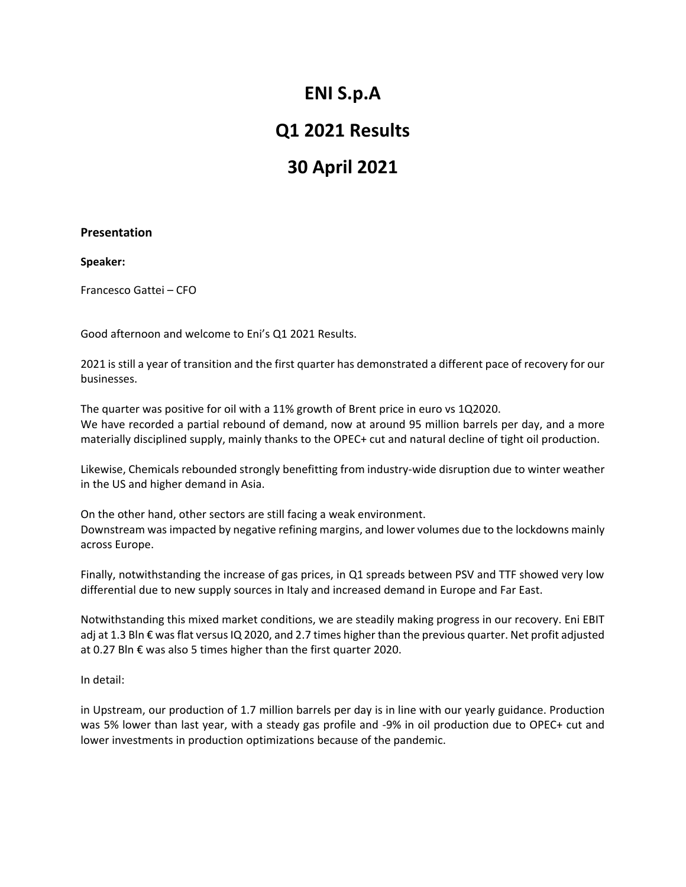## **ENI S.p.A**

### **Q1 2021 Results**

# **30 April 2021**

### **Presentation**

**Speaker:**

Francesco Gattei – CFO

Good afternoon and welcome to Eni's Q1 2021 Results.

2021 is still a year of transition and the first quarter has demonstrated a different pace of recovery for our businesses.

The quarter was positive for oil with a 11% growth of Brent price in euro vs 1Q2020. We have recorded a partial rebound of demand, now at around 95 million barrels per day, and a more materially disciplined supply, mainly thanks to the OPEC+ cut and natural decline of tight oil production.

Likewise, Chemicals rebounded strongly benefitting from industry-wide disruption due to winter weather in the US and higher demand in Asia.

On the other hand, other sectors are still facing a weak environment. Downstream was impacted by negative refining margins, and lower volumes due to the lockdowns mainly across Europe.

Finally, notwithstanding the increase of gas prices, in Q1 spreads between PSV and TTF showed very low differential due to new supply sources in Italy and increased demand in Europe and Far East.

Notwithstanding this mixed market conditions, we are steadily making progress in our recovery. Eni EBIT adj at 1.3 Bln € was flat versus IQ 2020, and 2.7 times higher than the previous quarter. Net profit adjusted at 0.27 Bln € was also 5 times higher than the first quarter 2020.

In detail:

in Upstream, our production of 1.7 million barrels per day is in line with our yearly guidance. Production was 5% lower than last year, with a steady gas profile and -9% in oil production due to OPEC+ cut and lower investments in production optimizations because of the pandemic.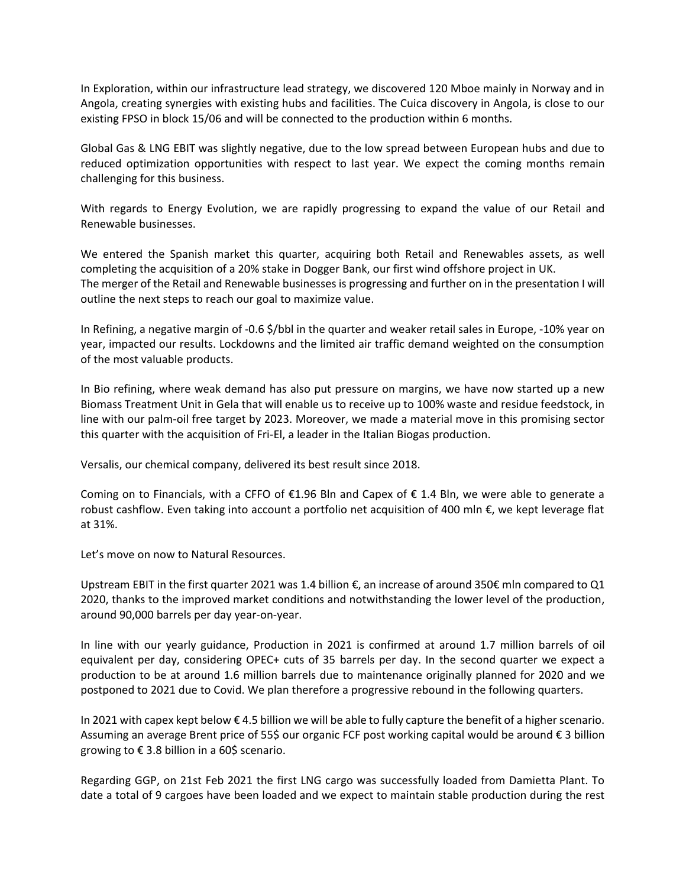In Exploration, within our infrastructure lead strategy, we discovered 120 Mboe mainly in Norway and in Angola, creating synergies with existing hubs and facilities. The Cuica discovery in Angola, is close to our existing FPSO in block 15/06 and will be connected to the production within 6 months.

Global Gas & LNG EBIT was slightly negative, due to the low spread between European hubs and due to reduced optimization opportunities with respect to last year. We expect the coming months remain challenging for this business.

With regards to Energy Evolution, we are rapidly progressing to expand the value of our Retail and Renewable businesses.

We entered the Spanish market this quarter, acquiring both Retail and Renewables assets, as well completing the acquisition of a 20% stake in Dogger Bank, our first wind offshore project in UK. The merger of the Retail and Renewable businesses is progressing and further on in the presentation I will outline the next steps to reach our goal to maximize value.

In Refining, a negative margin of -0.6 \$/bbl in the quarter and weaker retail sales in Europe, -10% year on year, impacted our results. Lockdowns and the limited air traffic demand weighted on the consumption of the most valuable products.

In Bio refining, where weak demand has also put pressure on margins, we have now started up a new Biomass Treatment Unit in Gela that will enable us to receive up to 100% waste and residue feedstock, in line with our palm-oil free target by 2023. Moreover, we made a material move in this promising sector this quarter with the acquisition of Fri-El, a leader in the Italian Biogas production.

Versalis, our chemical company, delivered its best result since 2018.

Coming on to Financials, with a CFFO of  $\epsilon$ 1.96 Bln and Capex of  $\epsilon$  1.4 Bln, we were able to generate a robust cashflow. Even taking into account a portfolio net acquisition of 400 mln  $\epsilon$ , we kept leverage flat at 31%.

Let's move on now to Natural Resources.

Upstream EBIT in the first quarter 2021 was 1.4 billion €, an increase of around 350€ mln compared to Q1 2020, thanks to the improved market conditions and notwithstanding the lower level of the production, around 90,000 barrels per day year-on-year.

In line with our yearly guidance, Production in 2021 is confirmed at around 1.7 million barrels of oil equivalent per day, considering OPEC+ cuts of 35 barrels per day. In the second quarter we expect a production to be at around 1.6 million barrels due to maintenance originally planned for 2020 and we postponed to 2021 due to Covid. We plan therefore a progressive rebound in the following quarters.

In 2021 with capex kept below € 4.5 billion we will be able to fully capture the benefit of a higher scenario. Assuming an average Brent price of 55\$ our organic FCF post working capital would be around € 3 billion growing to € 3.8 billion in a 60\$ scenario.

Regarding GGP, on 21st Feb 2021 the first LNG cargo was successfully loaded from Damietta Plant. To date a total of 9 cargoes have been loaded and we expect to maintain stable production during the rest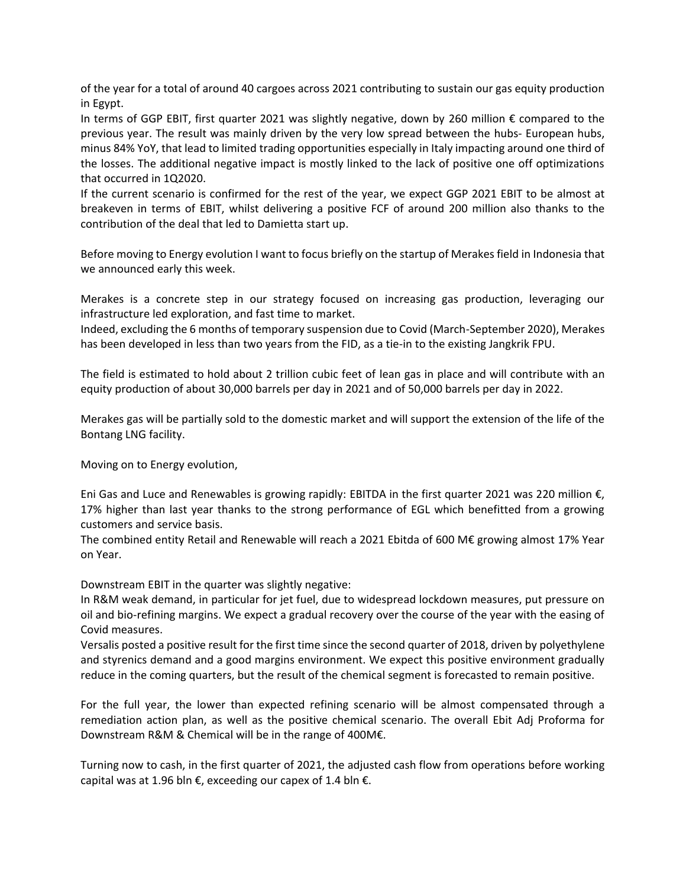of the year for a total of around 40 cargoes across 2021 contributing to sustain our gas equity production in Egypt.

In terms of GGP EBIT, first quarter 2021 was slightly negative, down by 260 million € compared to the previous year. The result was mainly driven by the very low spread between the hubs- European hubs, minus 84% YoY, that lead to limited trading opportunities especially in Italy impacting around one third of the losses. The additional negative impact is mostly linked to the lack of positive one off optimizations that occurred in 1Q2020.

If the current scenario is confirmed for the rest of the year, we expect GGP 2021 EBIT to be almost at breakeven in terms of EBIT, whilst delivering a positive FCF of around 200 million also thanks to the contribution of the deal that led to Damietta start up.

Before moving to Energy evolution I want to focus briefly on the startup of Merakes field in Indonesia that we announced early this week.

Merakes is a concrete step in our strategy focused on increasing gas production, leveraging our infrastructure led exploration, and fast time to market.

Indeed, excluding the 6 months of temporary suspension due to Covid (March-September 2020), Merakes has been developed in less than two years from the FID, as a tie-in to the existing Jangkrik FPU.

The field is estimated to hold about 2 trillion cubic feet of lean gas in place and will contribute with an equity production of about 30,000 barrels per day in 2021 and of 50,000 barrels per day in 2022.

Merakes gas will be partially sold to the domestic market and will support the extension of the life of the Bontang LNG facility.

Moving on to Energy evolution,

Eni Gas and Luce and Renewables is growing rapidly: EBITDA in the first quarter 2021 was 220 million €, 17% higher than last year thanks to the strong performance of EGL which benefitted from a growing customers and service basis.

The combined entity Retail and Renewable will reach a 2021 Ebitda of 600 M€ growing almost 17% Year on Year.

Downstream EBIT in the quarter was slightly negative:

In R&M weak demand, in particular for jet fuel, due to widespread lockdown measures, put pressure on oil and bio-refining margins. We expect a gradual recovery over the course of the year with the easing of Covid measures.

Versalis posted a positive result for the first time since the second quarter of 2018, driven by polyethylene and styrenics demand and a good margins environment. We expect this positive environment gradually reduce in the coming quarters, but the result of the chemical segment is forecasted to remain positive.

For the full year, the lower than expected refining scenario will be almost compensated through a remediation action plan, as well as the positive chemical scenario. The overall Ebit Adj Proforma for Downstream R&M & Chemical will be in the range of 400M€.

Turning now to cash, in the first quarter of 2021, the adjusted cash flow from operations before working capital was at 1.96 bln  $\epsilon$ , exceeding our capex of 1.4 bln  $\epsilon$ .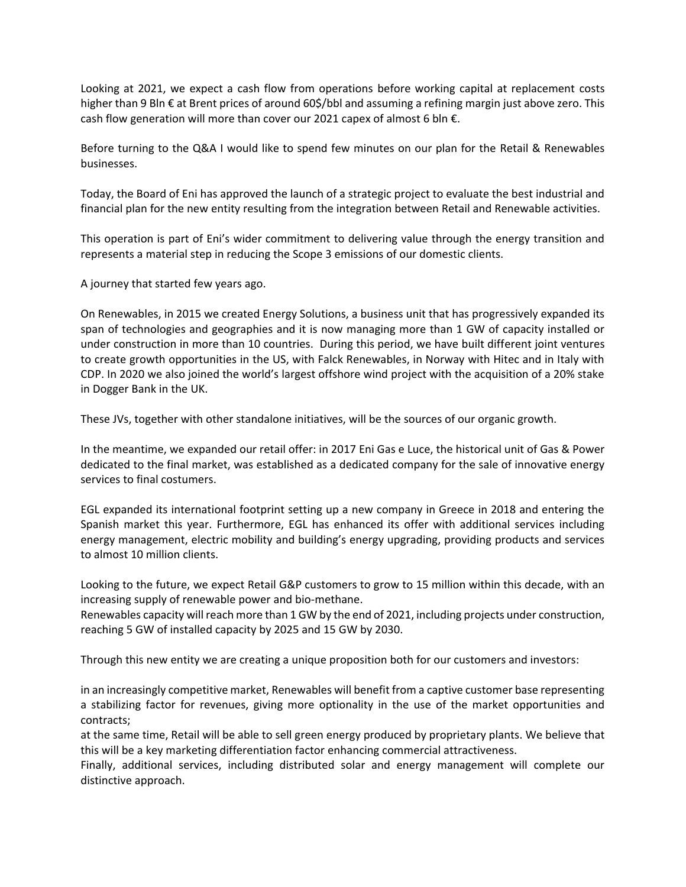Looking at 2021, we expect a cash flow from operations before working capital at replacement costs higher than 9 Bln € at Brent prices of around 60\$/bbl and assuming a refining margin just above zero. This cash flow generation will more than cover our 2021 capex of almost 6 bln €.

Before turning to the Q&A I would like to spend few minutes on our plan for the Retail & Renewables businesses.

Today, the Board of Eni has approved the launch of a strategic project to evaluate the best industrial and financial plan for the new entity resulting from the integration between Retail and Renewable activities.

This operation is part of Eni's wider commitment to delivering value through the energy transition and represents a material step in reducing the Scope 3 emissions of our domestic clients.

A journey that started few years ago.

On Renewables, in 2015 we created Energy Solutions, a business unit that has progressively expanded its span of technologies and geographies and it is now managing more than 1 GW of capacity installed or under construction in more than 10 countries. During this period, we have built different joint ventures to create growth opportunities in the US, with Falck Renewables, in Norway with Hitec and in Italy with CDP. In 2020 we also joined the world's largest offshore wind project with the acquisition of a 20% stake in Dogger Bank in the UK.

These JVs, together with other standalone initiatives, will be the sources of our organic growth.

In the meantime, we expanded our retail offer: in 2017 Eni Gas e Luce, the historical unit of Gas & Power dedicated to the final market, was established as a dedicated company for the sale of innovative energy services to final costumers.

EGL expanded its international footprint setting up a new company in Greece in 2018 and entering the Spanish market this year. Furthermore, EGL has enhanced its offer with additional services including energy management, electric mobility and building's energy upgrading, providing products and services to almost 10 million clients.

Looking to the future, we expect Retail G&P customers to grow to 15 million within this decade, with an increasing supply of renewable power and bio-methane.

Renewables capacity will reach more than 1 GW by the end of 2021, including projects under construction, reaching 5 GW of installed capacity by 2025 and 15 GW by 2030.

Through this new entity we are creating a unique proposition both for our customers and investors:

in an increasingly competitive market, Renewables will benefit from a captive customer base representing a stabilizing factor for revenues, giving more optionality in the use of the market opportunities and contracts;

at the same time, Retail will be able to sell green energy produced by proprietary plants. We believe that this will be a key marketing differentiation factor enhancing commercial attractiveness.

Finally, additional services, including distributed solar and energy management will complete our distinctive approach.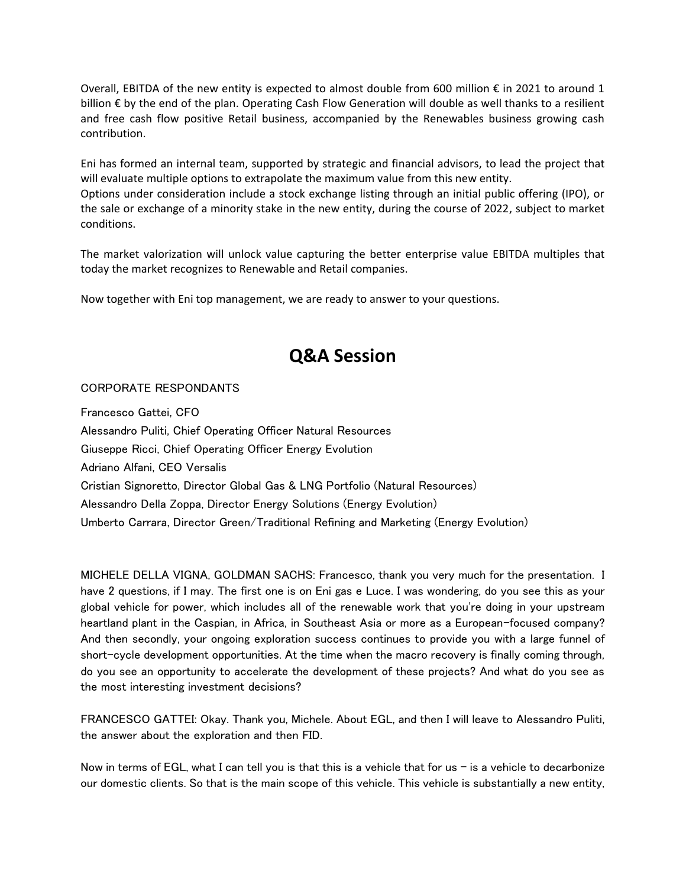Overall, EBITDA of the new entity is expected to almost double from 600 million  $\epsilon$  in 2021 to around 1 billion € by the end of the plan. Operating Cash Flow Generation will double as well thanks to a resilient and free cash flow positive Retail business, accompanied by the Renewables business growing cash contribution.

Eni has formed an internal team, supported by strategic and financial advisors, to lead the project that will evaluate multiple options to extrapolate the maximum value from this new entity.

Options under consideration include a stock exchange listing through an initial public offering (IPO), or the sale or exchange of a minority stake in the new entity, during the course of 2022, subject to market conditions.

The market valorization will unlock value capturing the better enterprise value EBITDA multiples that today the market recognizes to Renewable and Retail companies.

Now together with Eni top management, we are ready to answer to your questions.

## **Q&A Session**

### CORPORATE RESPONDANTS

Francesco Gattei, CFO Alessandro Puliti, Chief Operating Officer Natural Resources Giuseppe Ricci, Chief Operating Officer Energy Evolution Adriano Alfani, CEO Versalis Cristian Signoretto, Director Global Gas & LNG Portfolio (Natural Resources) Alessandro Della Zoppa, Director Energy Solutions (Energy Evolution) Umberto Carrara, Director Green/Traditional Refining and Marketing (Energy Evolution)

MICHELE DELLA VIGNA, GOLDMAN SACHS: Francesco, thank you very much for the presentation. I have 2 questions, if I may. The first one is on Eni gas e Luce. I was wondering, do you see this as your global vehicle for power, which includes all of the renewable work that you're doing in your upstream heartland plant in the Caspian, in Africa, in Southeast Asia or more as a European-focused company? And then secondly, your ongoing exploration success continues to provide you with a large funnel of short-cycle development opportunities. At the time when the macro recovery is finally coming through, do you see an opportunity to accelerate the development of these projects? And what do you see as the most interesting investment decisions?

FRANCESCO GATTEI: Okay. Thank you, Michele. About EGL, and then I will leave to Alessandro Puliti, the answer about the exploration and then FID.

Now in terms of EGL, what I can tell you is that this is a vehicle that for us  $-$  is a vehicle to decarbonize our domestic clients. So that is the main scope of this vehicle. This vehicle is substantially a new entity,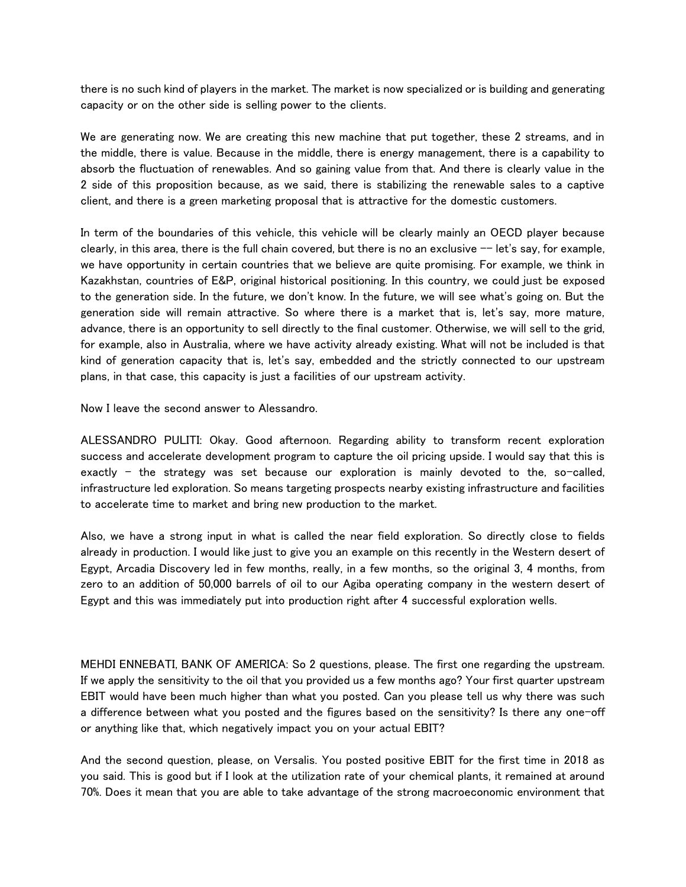there is no such kind of players in the market. The market is now specialized or is building and generating capacity or on the other side is selling power to the clients.

We are generating now. We are creating this new machine that put together, these 2 streams, and in the middle, there is value. Because in the middle, there is energy management, there is a capability to absorb the fluctuation of renewables. And so gaining value from that. And there is clearly value in the 2 side of this proposition because, as we said, there is stabilizing the renewable sales to a captive client, and there is a green marketing proposal that is attractive for the domestic customers.

In term of the boundaries of this vehicle, this vehicle will be clearly mainly an OECD player because clearly, in this area, there is the full chain covered, but there is no an exclusive  $-$  let's say, for example, we have opportunity in certain countries that we believe are quite promising. For example, we think in Kazakhstan, countries of E&P, original historical positioning. In this country, we could just be exposed to the generation side. In the future, we don't know. In the future, we will see what's going on. But the generation side will remain attractive. So where there is a market that is, let's say, more mature, advance, there is an opportunity to sell directly to the final customer. Otherwise, we will sell to the grid, for example, also in Australia, where we have activity already existing. What will not be included is that kind of generation capacity that is, let's say, embedded and the strictly connected to our upstream plans, in that case, this capacity is just a facilities of our upstream activity.

Now I leave the second answer to Alessandro.

ALESSANDRO PULITI: Okay. Good afternoon. Regarding ability to transform recent exploration success and accelerate development program to capture the oil pricing upside. I would say that this is exactly  $-$  the strategy was set because our exploration is mainly devoted to the, so-called, infrastructure led exploration. So means targeting prospects nearby existing infrastructure and facilities to accelerate time to market and bring new production to the market.

Also, we have a strong input in what is called the near field exploration. So directly close to fields already in production. I would like just to give you an example on this recently in the Western desert of Egypt, Arcadia Discovery led in few months, really, in a few months, so the original 3, 4 months, from zero to an addition of 50,000 barrels of oil to our Agiba operating company in the western desert of Egypt and this was immediately put into production right after 4 successful exploration wells.

MEHDI ENNEBATI, BANK OF AMERICA: So 2 questions, please. The first one regarding the upstream. If we apply the sensitivity to the oil that you provided us a few months ago? Your first quarter upstream EBIT would have been much higher than what you posted. Can you please tell us why there was such a difference between what you posted and the figures based on the sensitivity? Is there any one-off or anything like that, which negatively impact you on your actual EBIT?

And the second question, please, on Versalis. You posted positive EBIT for the first time in 2018 as you said. This is good but if I look at the utilization rate of your chemical plants, it remained at around 70%. Does it mean that you are able to take advantage of the strong macroeconomic environment that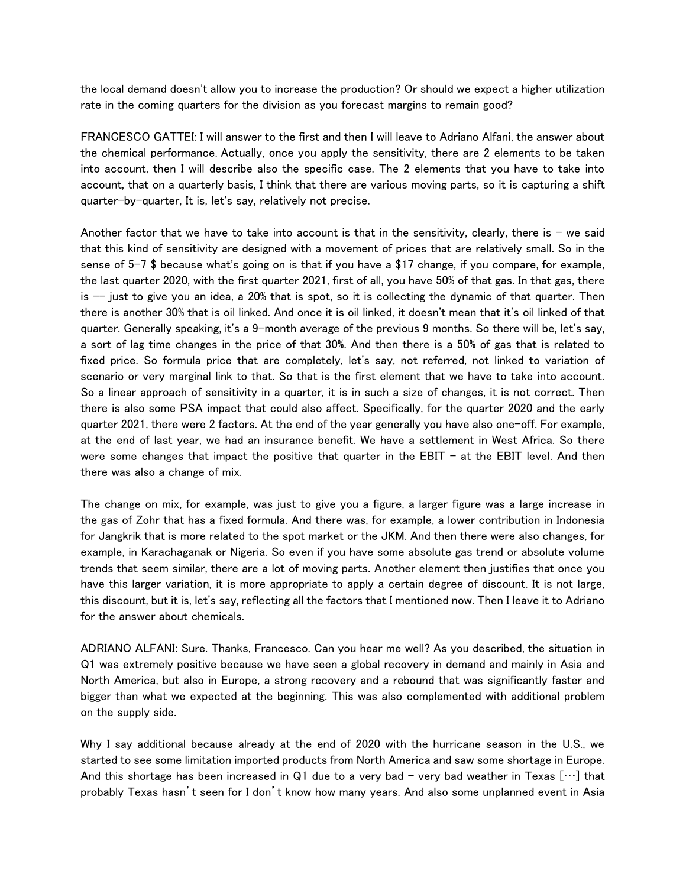the local demand doesn't allow you to increase the production? Or should we expect a higher utilization rate in the coming quarters for the division as you forecast margins to remain good?

FRANCESCO GATTEI: I will answer to the first and then I will leave to Adriano Alfani, the answer about the chemical performance. Actually, once you apply the sensitivity, there are 2 elements to be taken into account, then I will describe also the specific case. The 2 elements that you have to take into account, that on a quarterly basis, I think that there are various moving parts, so it is capturing a shift quarter-by-quarter, It is, let's say, relatively not precise.

Another factor that we have to take into account is that in the sensitivity, clearly, there is  $-$  we said that this kind of sensitivity are designed with a movement of prices that are relatively small. So in the sense of 5-7 \$ because what's going on is that if you have a \$17 change, if you compare, for example, the last quarter 2020, with the first quarter 2021, first of all, you have 50% of that gas. In that gas, there is  $-$  just to give you an idea, a 20% that is spot, so it is collecting the dynamic of that quarter. Then there is another 30% that is oil linked. And once it is oil linked, it doesn't mean that it's oil linked of that quarter. Generally speaking, it's a 9-month average of the previous 9 months. So there will be, let's say, a sort of lag time changes in the price of that 30%. And then there is a 50% of gas that is related to fixed price. So formula price that are completely, let's say, not referred, not linked to variation of scenario or very marginal link to that. So that is the first element that we have to take into account. So a linear approach of sensitivity in a quarter, it is in such a size of changes, it is not correct. Then there is also some PSA impact that could also affect. Specifically, for the quarter 2020 and the early quarter 2021, there were 2 factors. At the end of the year generally you have also one-off. For example, at the end of last year, we had an insurance benefit. We have a settlement in West Africa. So there were some changes that impact the positive that quarter in the EBIT - at the EBIT level. And then there was also a change of mix.

The change on mix, for example, was just to give you a figure, a larger figure was a large increase in the gas of Zohr that has a fixed formula. And there was, for example, a lower contribution in Indonesia for Jangkrik that is more related to the spot market or the JKM. And then there were also changes, for example, in Karachaganak or Nigeria. So even if you have some absolute gas trend or absolute volume trends that seem similar, there are a lot of moving parts. Another element then justifies that once you have this larger variation, it is more appropriate to apply a certain degree of discount. It is not large, this discount, but it is, let's say, reflecting all the factors that I mentioned now. Then I leave it to Adriano for the answer about chemicals.

ADRIANO ALFANI: Sure. Thanks, Francesco. Can you hear me well? As you described, the situation in Q1 was extremely positive because we have seen a global recovery in demand and mainly in Asia and North America, but also in Europe, a strong recovery and a rebound that was significantly faster and bigger than what we expected at the beginning. This was also complemented with additional problem on the supply side.

Why I say additional because already at the end of 2020 with the hurricane season in the U.S., we started to see some limitation imported products from North America and saw some shortage in Europe. And this shortage has been increased in Q1 due to a very bad - very bad weather in Texas  $[\cdots]$  that probably Texas hasn't seen for I don't know how many years. And also some unplanned event in Asia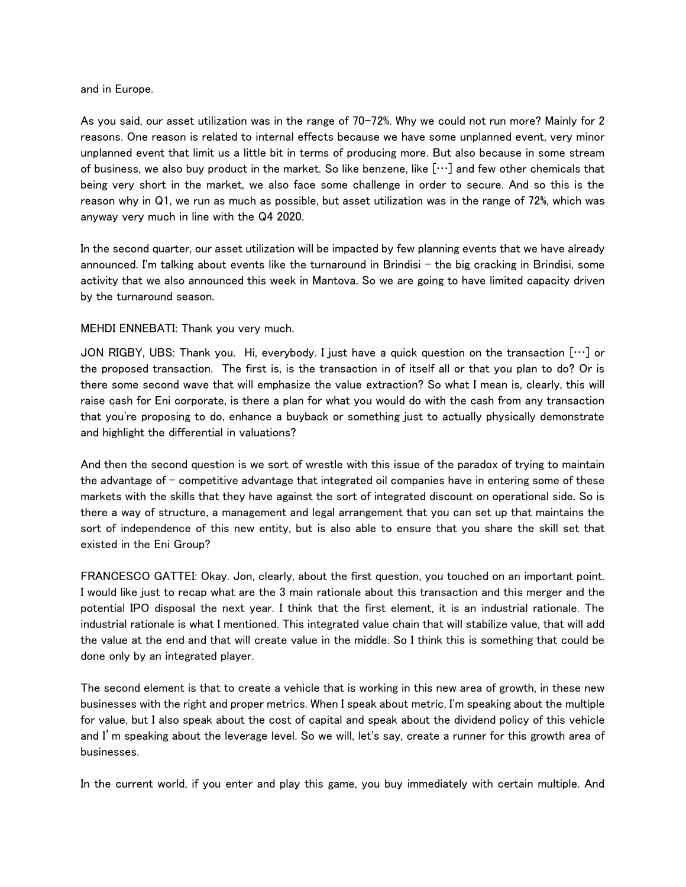#### and in Europe.

As you said, our asset utilization was in the range of 70-72%. Why we could not run more? Mainly for 2 reasons. One reason is related to internal effects because we have some unplanned event, very minor unplanned event that limit us a little bit in terms of producing more. But also because in some stream of business, we also buy product in the market. So like benzene, like […] and few other chemicals that being very short in the market, we also face some challenge in order to secure. And so this is the reason why in Q1, we run as much as possible, but asset utilization was in the range of 72%, which was anyway very much in line with the Q4 2020.

In the second quarter, our asset utilization will be impacted by few planning events that we have already announced. I'm talking about events like the turnaround in Brindisi  $-$  the big cracking in Brindisi, some activity that we also announced this week in Mantova. So we are going to have limited capacity driven by the turnaround season.

#### MEHDI ENNEBATI: Thank you very much.

JON RIGBY, UBS: Thank you. Hi, everybody. I just have a quick question on the transaction […] or the proposed transaction. The first is, is the transaction in of itself all or that you plan to do? Or is there some second wave that will emphasize the value extraction? So what I mean is, clearly, this will raise cash for Eni corporate, is there a plan for what you would do with the cash from any transaction that you're proposing to do, enhance a buyback or something just to actually physically demonstrate and highlight the differential in valuations?

And then the second question is we sort of wrestle with this issue of the paradox of trying to maintain the advantage of  $-$  competitive advantage that integrated oil companies have in entering some of these markets with the skills that they have against the sort of integrated discount on operational side. So is there a way of structure, a management and legal arrangement that you can set up that maintains the sort of independence of this new entity, but is also able to ensure that you share the skill set that existed in the Eni Group?

FRANCESCO GATTEI: Okay. Jon, clearly, about the first question, you touched on an important point. I would like just to recap what are the 3 main rationale about this transaction and this merger and the potential IPO disposal the next year. I think that the first element, it is an industrial rationale. The industrial rationale is what I mentioned. This integrated value chain that will stabilize value, that will add the value at the end and that will create value in the middle. So I think this is something that could be done only by an integrated player.

The second element is that to create a vehicle that is working in this new area of growth, in these new businesses with the right and proper metrics. When I speak about metric, I'm speaking about the multiple for value, but I also speak about the cost of capital and speak about the dividend policy of this vehicle and I'm speaking about the leverage level. So we will, let's say, create a runner for this growth area of businesses.

In the current world, if you enter and play this game, you buy immediately with certain multiple. And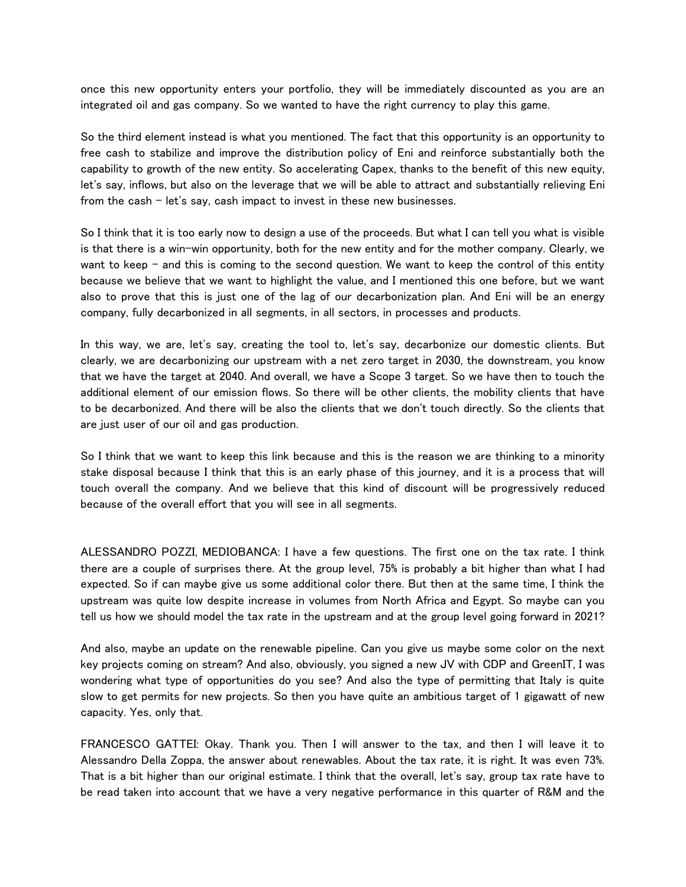once this new opportunity enters your portfolio, they will be immediately discounted as you are an integrated oil and gas company. So we wanted to have the right currency to play this game.

So the third element instead is what you mentioned. The fact that this opportunity is an opportunity to free cash to stabilize and improve the distribution policy of Eni and reinforce substantially both the capability to growth of the new entity. So accelerating Capex, thanks to the benefit of this new equity, let's say, inflows, but also on the leverage that we will be able to attract and substantially relieving Eni from the cash  $-$  let's say, cash impact to invest in these new businesses.

So I think that it is too early now to design a use of the proceeds. But what I can tell you what is visible is that there is a win-win opportunity, both for the new entity and for the mother company. Clearly, we want to keep  $-$  and this is coming to the second question. We want to keep the control of this entity because we believe that we want to highlight the value, and I mentioned this one before, but we want also to prove that this is just one of the lag of our decarbonization plan. And Eni will be an energy company, fully decarbonized in all segments, in all sectors, in processes and products.

In this way, we are, let's say, creating the tool to, let's say, decarbonize our domestic clients. But clearly, we are decarbonizing our upstream with a net zero target in 2030, the downstream, you know that we have the target at 2040. And overall, we have a Scope 3 target. So we have then to touch the additional element of our emission flows. So there will be other clients, the mobility clients that have to be decarbonized. And there will be also the clients that we don't touch directly. So the clients that are just user of our oil and gas production.

So I think that we want to keep this link because and this is the reason we are thinking to a minority stake disposal because I think that this is an early phase of this journey, and it is a process that will touch overall the company. And we believe that this kind of discount will be progressively reduced because of the overall effort that you will see in all segments.

ALESSANDRO POZZI, MEDIOBANCA: I have a few questions. The first one on the tax rate. I think there are a couple of surprises there. At the group level, 75% is probably a bit higher than what I had expected. So if can maybe give us some additional color there. But then at the same time, I think the upstream was quite low despite increase in volumes from North Africa and Egypt. So maybe can you tell us how we should model the tax rate in the upstream and at the group level going forward in 2021?

And also, maybe an update on the renewable pipeline. Can you give us maybe some color on the next key projects coming on stream? And also, obviously, you signed a new JV with CDP and GreenIT, I was wondering what type of opportunities do you see? And also the type of permitting that Italy is quite slow to get permits for new projects. So then you have quite an ambitious target of 1 gigawatt of new capacity. Yes, only that.

FRANCESCO GATTEI: Okay. Thank you. Then I will answer to the tax, and then I will leave it to Alessandro Della Zoppa, the answer about renewables. About the tax rate, it is right. It was even 73%. That is a bit higher than our original estimate. I think that the overall, let's say, group tax rate have to be read taken into account that we have a very negative performance in this quarter of R&M and the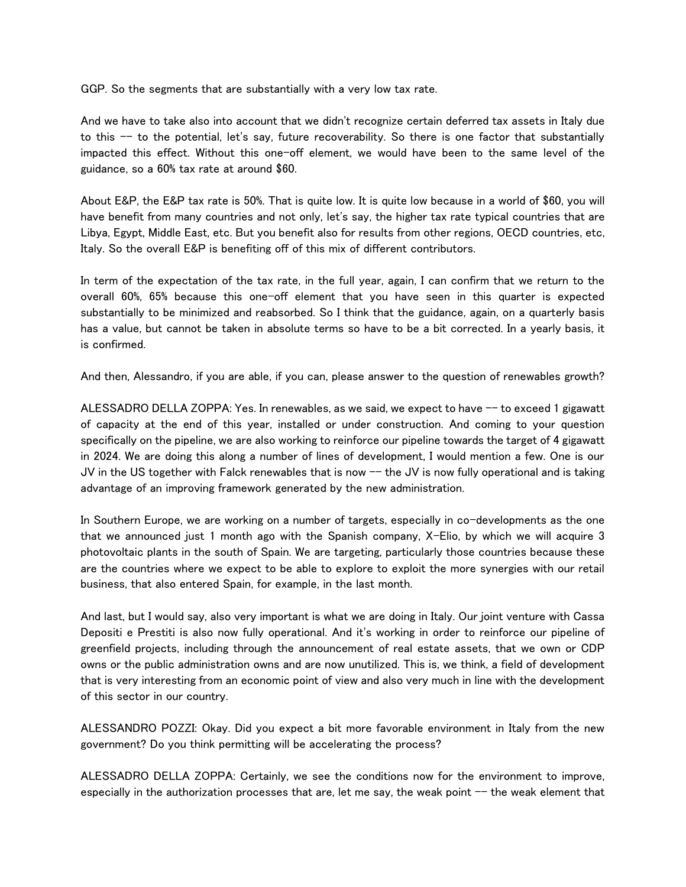GGP. So the segments that are substantially with a very low tax rate.

And we have to take also into account that we didn't recognize certain deferred tax assets in Italy due to this  $-$  to the potential, let's say, future recoverability. So there is one factor that substantially impacted this effect. Without this one-off element, we would have been to the same level of the guidance, so a 60% tax rate at around \$60.

About E&P, the E&P tax rate is 50%. That is quite low. It is quite low because in a world of \$60, you will have benefit from many countries and not only, let's say, the higher tax rate typical countries that are Libya, Egypt, Middle East, etc. But you benefit also for results from other regions, OECD countries, etc, Italy. So the overall E&P is benefiting off of this mix of different contributors.

In term of the expectation of the tax rate, in the full year, again, I can confirm that we return to the overall 60%, 65% because this one-off element that you have seen in this quarter is expected substantially to be minimized and reabsorbed. So I think that the guidance, again, on a quarterly basis has a value, but cannot be taken in absolute terms so have to be a bit corrected. In a yearly basis, it is confirmed.

And then, Alessandro, if you are able, if you can, please answer to the question of renewables growth?

ALESSADRO DELLA ZOPPA: Yes. In renewables, as we said, we expect to have  $-$ -to exceed 1 gigawatt of capacity at the end of this year, installed or under construction. And coming to your question specifically on the pipeline, we are also working to reinforce our pipeline towards the target of 4 gigawatt in 2024. We are doing this along a number of lines of development, I would mention a few. One is our JV in the US together with Falck renewables that is now -- the JV is now fully operational and is taking advantage of an improving framework generated by the new administration.

In Southern Europe, we are working on a number of targets, especially in co-developments as the one that we announced just 1 month ago with the Spanish company, X-Elio, by which we will acquire 3 photovoltaic plants in the south of Spain. We are targeting, particularly those countries because these are the countries where we expect to be able to explore to exploit the more synergies with our retail business, that also entered Spain, for example, in the last month.

And last, but I would say, also very important is what we are doing in Italy. Our joint venture with Cassa Depositi e Prestiti is also now fully operational. And it's working in order to reinforce our pipeline of greenfield projects, including through the announcement of real estate assets, that we own or CDP owns or the public administration owns and are now unutilized. This is, we think, a field of development that is very interesting from an economic point of view and also very much in line with the development of this sector in our country.

ALESSANDRO POZZI: Okay. Did you expect a bit more favorable environment in Italy from the new government? Do you think permitting will be accelerating the process?

ALESSADRO DELLA ZOPPA: Certainly, we see the conditions now for the environment to improve, especially in the authorization processes that are, let me say, the weak point -- the weak element that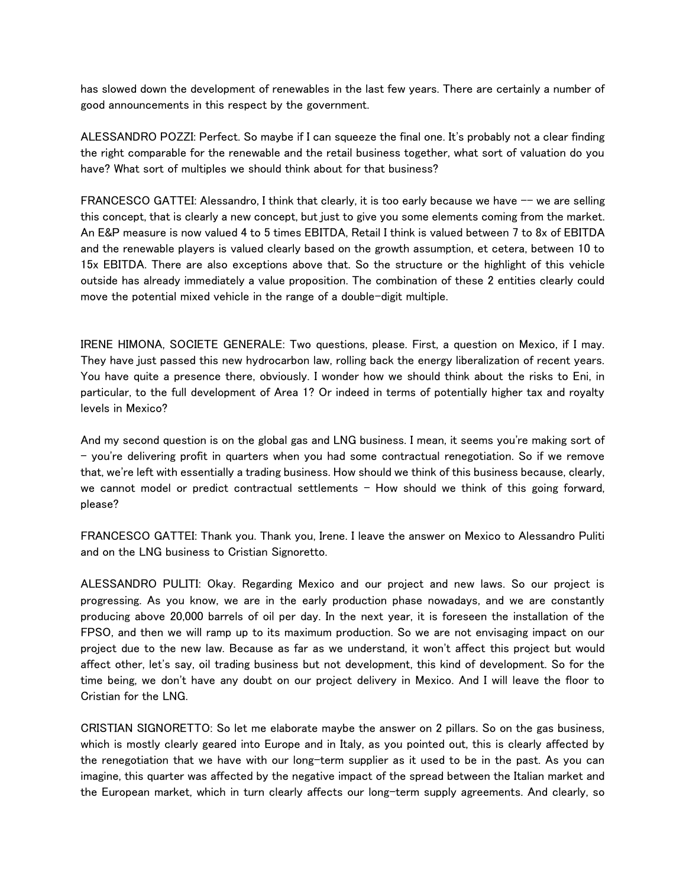has slowed down the development of renewables in the last few years. There are certainly a number of good announcements in this respect by the government.

ALESSANDRO POZZI: Perfect. So maybe if I can squeeze the final one. It's probably not a clear finding the right comparable for the renewable and the retail business together, what sort of valuation do you have? What sort of multiples we should think about for that business?

FRANCESCO GATTEI: Alessandro, I think that clearly, it is too early because we have  $-$  we are selling this concept, that is clearly a new concept, but just to give you some elements coming from the market. An E&P measure is now valued 4 to 5 times EBITDA, Retail I think is valued between 7 to 8x of EBITDA and the renewable players is valued clearly based on the growth assumption, et cetera, between 10 to 15x EBITDA. There are also exceptions above that. So the structure or the highlight of this vehicle outside has already immediately a value proposition. The combination of these 2 entities clearly could move the potential mixed vehicle in the range of a double-digit multiple.

IRENE HIMONA, SOCIETE GENERALE: Two questions, please. First, a question on Mexico, if I may. They have just passed this new hydrocarbon law, rolling back the energy liberalization of recent years. You have quite a presence there, obviously. I wonder how we should think about the risks to Eni, in particular, to the full development of Area 1? Or indeed in terms of potentially higher tax and royalty levels in Mexico?

And my second question is on the global gas and LNG business. I mean, it seems you're making sort of - you're delivering profit in quarters when you had some contractual renegotiation. So if we remove that, we're left with essentially a trading business. How should we think of this business because, clearly, we cannot model or predict contractual settlements  $-$  How should we think of this going forward, please?

FRANCESCO GATTEI: Thank you. Thank you, Irene. I leave the answer on Mexico to Alessandro Puliti and on the LNG business to Cristian Signoretto.

ALESSANDRO PULITI: Okay. Regarding Mexico and our project and new laws. So our project is progressing. As you know, we are in the early production phase nowadays, and we are constantly producing above 20,000 barrels of oil per day. In the next year, it is foreseen the installation of the FPSO, and then we will ramp up to its maximum production. So we are not envisaging impact on our project due to the new law. Because as far as we understand, it won't affect this project but would affect other, let's say, oil trading business but not development, this kind of development. So for the time being, we don't have any doubt on our project delivery in Mexico. And I will leave the floor to Cristian for the LNG.

CRISTIAN SIGNORETTO: So let me elaborate maybe the answer on 2 pillars. So on the gas business, which is mostly clearly geared into Europe and in Italy, as you pointed out, this is clearly affected by the renegotiation that we have with our long-term supplier as it used to be in the past. As you can imagine, this quarter was affected by the negative impact of the spread between the Italian market and the European market, which in turn clearly affects our long-term supply agreements. And clearly, so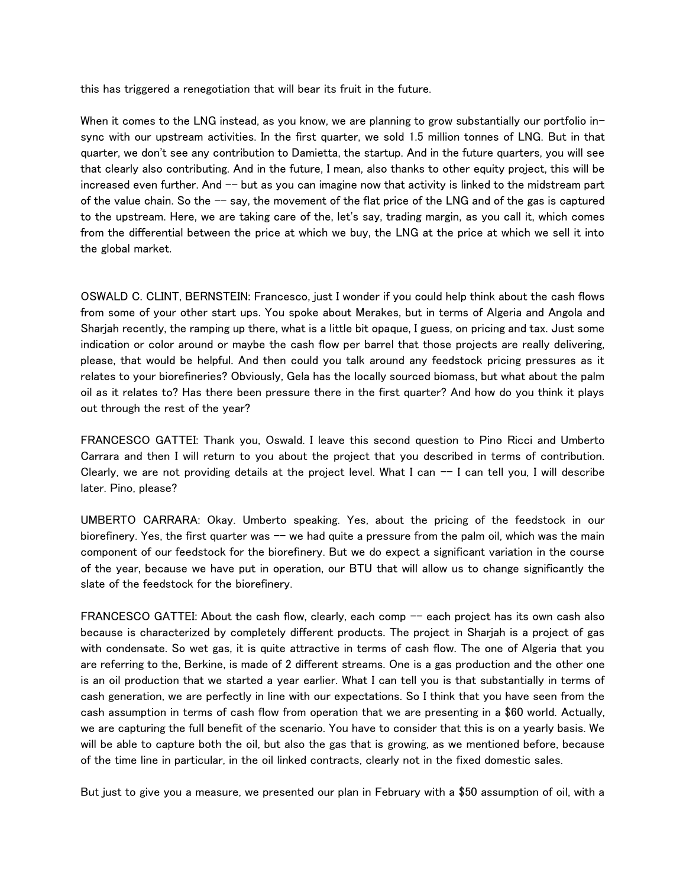this has triggered a renegotiation that will bear its fruit in the future.

When it comes to the LNG instead, as you know, we are planning to grow substantially our portfolio insync with our upstream activities. In the first quarter, we sold 1.5 million tonnes of LNG. But in that quarter, we don't see any contribution to Damietta, the startup. And in the future quarters, you will see that clearly also contributing. And in the future, I mean, also thanks to other equity project, this will be increased even further. And  $-$  but as you can imagine now that activity is linked to the midstream part of the value chain. So the  $-$  say, the movement of the flat price of the LNG and of the gas is captured to the upstream. Here, we are taking care of the, let's say, trading margin, as you call it, which comes from the differential between the price at which we buy, the LNG at the price at which we sell it into the global market.

OSWALD C. CLINT, BERNSTEIN: Francesco, just I wonder if you could help think about the cash flows from some of your other start ups. You spoke about Merakes, but in terms of Algeria and Angola and Sharjah recently, the ramping up there, what is a little bit opaque, I guess, on pricing and tax. Just some indication or color around or maybe the cash flow per barrel that those projects are really delivering, please, that would be helpful. And then could you talk around any feedstock pricing pressures as it relates to your biorefineries? Obviously, Gela has the locally sourced biomass, but what about the palm oil as it relates to? Has there been pressure there in the first quarter? And how do you think it plays out through the rest of the year?

FRANCESCO GATTEI: Thank you, Oswald. I leave this second question to Pino Ricci and Umberto Carrara and then I will return to you about the project that you described in terms of contribution. Clearly, we are not providing details at the project level. What I can  $-$  I can tell you, I will describe later. Pino, please?

UMBERTO CARRARA: Okay. Umberto speaking. Yes, about the pricing of the feedstock in our biorefinery. Yes, the first quarter was -- we had quite a pressure from the palm oil, which was the main component of our feedstock for the biorefinery. But we do expect a significant variation in the course of the year, because we have put in operation, our BTU that will allow us to change significantly the slate of the feedstock for the biorefinery.

FRANCESCO GATTEI: About the cash flow, clearly, each comp  $-$  each project has its own cash also because is characterized by completely different products. The project in Sharjah is a project of gas with condensate. So wet gas, it is quite attractive in terms of cash flow. The one of Algeria that you are referring to the, Berkine, is made of 2 different streams. One is a gas production and the other one is an oil production that we started a year earlier. What I can tell you is that substantially in terms of cash generation, we are perfectly in line with our expectations. So I think that you have seen from the cash assumption in terms of cash flow from operation that we are presenting in a \$60 world. Actually, we are capturing the full benefit of the scenario. You have to consider that this is on a yearly basis. We will be able to capture both the oil, but also the gas that is growing, as we mentioned before, because of the time line in particular, in the oil linked contracts, clearly not in the fixed domestic sales.

But just to give you a measure, we presented our plan in February with a \$50 assumption of oil, with a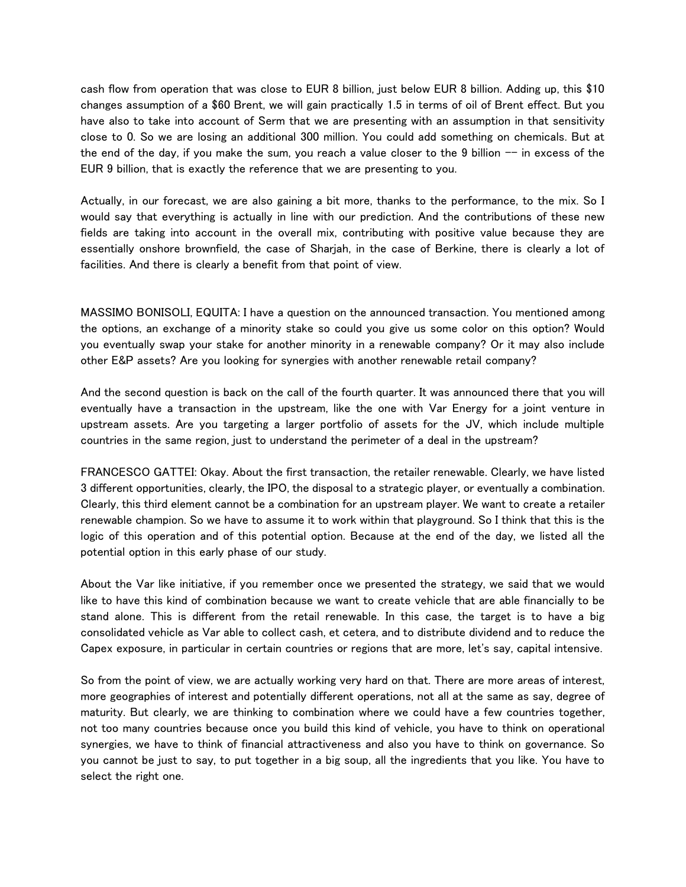cash flow from operation that was close to EUR 8 billion, just below EUR 8 billion. Adding up, this \$10 changes assumption of a \$60 Brent, we will gain practically 1.5 in terms of oil of Brent effect. But you have also to take into account of Serm that we are presenting with an assumption in that sensitivity close to 0. So we are losing an additional 300 million. You could add something on chemicals. But at the end of the day, if you make the sum, you reach a value closer to the 9 billion  $-$  in excess of the EUR 9 billion, that is exactly the reference that we are presenting to you.

Actually, in our forecast, we are also gaining a bit more, thanks to the performance, to the mix. So I would say that everything is actually in line with our prediction. And the contributions of these new fields are taking into account in the overall mix, contributing with positive value because they are essentially onshore brownfield, the case of Sharjah, in the case of Berkine, there is clearly a lot of facilities. And there is clearly a benefit from that point of view.

MASSIMO BONISOLI, EQUITA: I have a question on the announced transaction. You mentioned among the options, an exchange of a minority stake so could you give us some color on this option? Would you eventually swap your stake for another minority in a renewable company? Or it may also include other E&P assets? Are you looking for synergies with another renewable retail company?

And the second question is back on the call of the fourth quarter. It was announced there that you will eventually have a transaction in the upstream, like the one with Var Energy for a joint venture in upstream assets. Are you targeting a larger portfolio of assets for the JV, which include multiple countries in the same region, just to understand the perimeter of a deal in the upstream?

FRANCESCO GATTEI: Okay. About the first transaction, the retailer renewable. Clearly, we have listed 3 different opportunities, clearly, the IPO, the disposal to a strategic player, or eventually a combination. Clearly, this third element cannot be a combination for an upstream player. We want to create a retailer renewable champion. So we have to assume it to work within that playground. So I think that this is the logic of this operation and of this potential option. Because at the end of the day, we listed all the potential option in this early phase of our study.

About the Var like initiative, if you remember once we presented the strategy, we said that we would like to have this kind of combination because we want to create vehicle that are able financially to be stand alone. This is different from the retail renewable. In this case, the target is to have a big consolidated vehicle as Var able to collect cash, et cetera, and to distribute dividend and to reduce the Capex exposure, in particular in certain countries or regions that are more, let's say, capital intensive.

So from the point of view, we are actually working very hard on that. There are more areas of interest, more geographies of interest and potentially different operations, not all at the same as say, degree of maturity. But clearly, we are thinking to combination where we could have a few countries together, not too many countries because once you build this kind of vehicle, you have to think on operational synergies, we have to think of financial attractiveness and also you have to think on governance. So you cannot be just to say, to put together in a big soup, all the ingredients that you like. You have to select the right one.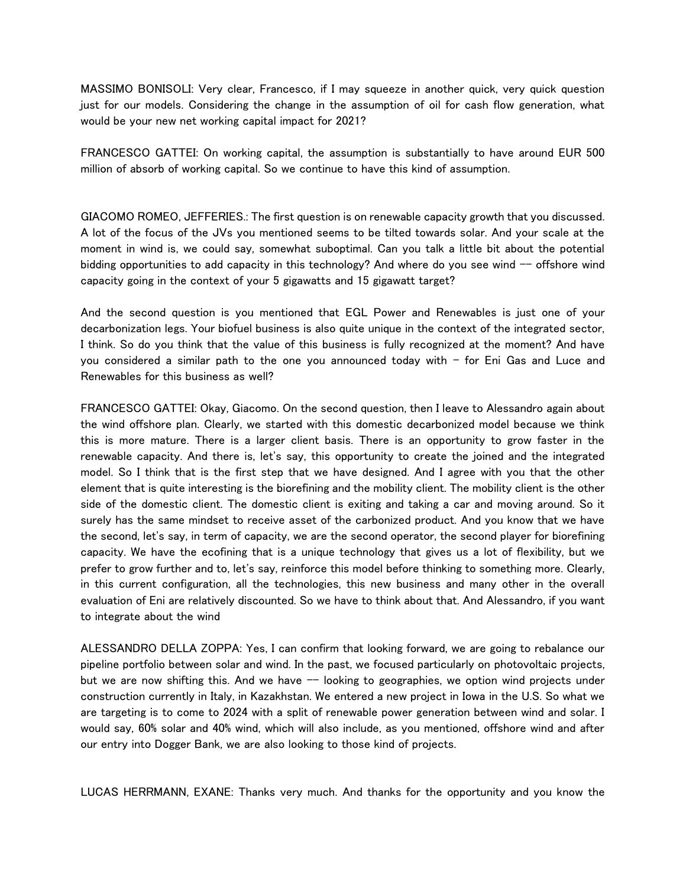MASSIMO BONISOLI: Very clear, Francesco, if I may squeeze in another quick, very quick question just for our models. Considering the change in the assumption of oil for cash flow generation, what would be your new net working capital impact for 2021?

FRANCESCO GATTEI: On working capital, the assumption is substantially to have around EUR 500 million of absorb of working capital. So we continue to have this kind of assumption.

GIACOMO ROMEO, JEFFERIES.: The first question is on renewable capacity growth that you discussed. A lot of the focus of the JVs you mentioned seems to be tilted towards solar. And your scale at the moment in wind is, we could say, somewhat suboptimal. Can you talk a little bit about the potential bidding opportunities to add capacity in this technology? And where do you see wind  $-$  offshore wind capacity going in the context of your 5 gigawatts and 15 gigawatt target?

And the second question is you mentioned that EGL Power and Renewables is just one of your decarbonization legs. Your biofuel business is also quite unique in the context of the integrated sector, I think. So do you think that the value of this business is fully recognized at the moment? And have you considered a similar path to the one you announced today with  $-$  for Eni Gas and Luce and Renewables for this business as well?

FRANCESCO GATTEI: Okay, Giacomo. On the second question, then I leave to Alessandro again about the wind offshore plan. Clearly, we started with this domestic decarbonized model because we think this is more mature. There is a larger client basis. There is an opportunity to grow faster in the renewable capacity. And there is, let's say, this opportunity to create the joined and the integrated model. So I think that is the first step that we have designed. And I agree with you that the other element that is quite interesting is the biorefining and the mobility client. The mobility client is the other side of the domestic client. The domestic client is exiting and taking a car and moving around. So it surely has the same mindset to receive asset of the carbonized product. And you know that we have the second, let's say, in term of capacity, we are the second operator, the second player for biorefining capacity. We have the ecofining that is a unique technology that gives us a lot of flexibility, but we prefer to grow further and to, let's say, reinforce this model before thinking to something more. Clearly, in this current configuration, all the technologies, this new business and many other in the overall evaluation of Eni are relatively discounted. So we have to think about that. And Alessandro, if you want to integrate about the wind

ALESSANDRO DELLA ZOPPA: Yes, I can confirm that looking forward, we are going to rebalance our pipeline portfolio between solar and wind. In the past, we focused particularly on photovoltaic projects, but we are now shifting this. And we have  $-$  looking to geographies, we option wind projects under construction currently in Italy, in Kazakhstan. We entered a new project in Iowa in the U.S. So what we are targeting is to come to 2024 with a split of renewable power generation between wind and solar. I would say, 60% solar and 40% wind, which will also include, as you mentioned, offshore wind and after our entry into Dogger Bank, we are also looking to those kind of projects.

LUCAS HERRMANN, EXANE: Thanks very much. And thanks for the opportunity and you know the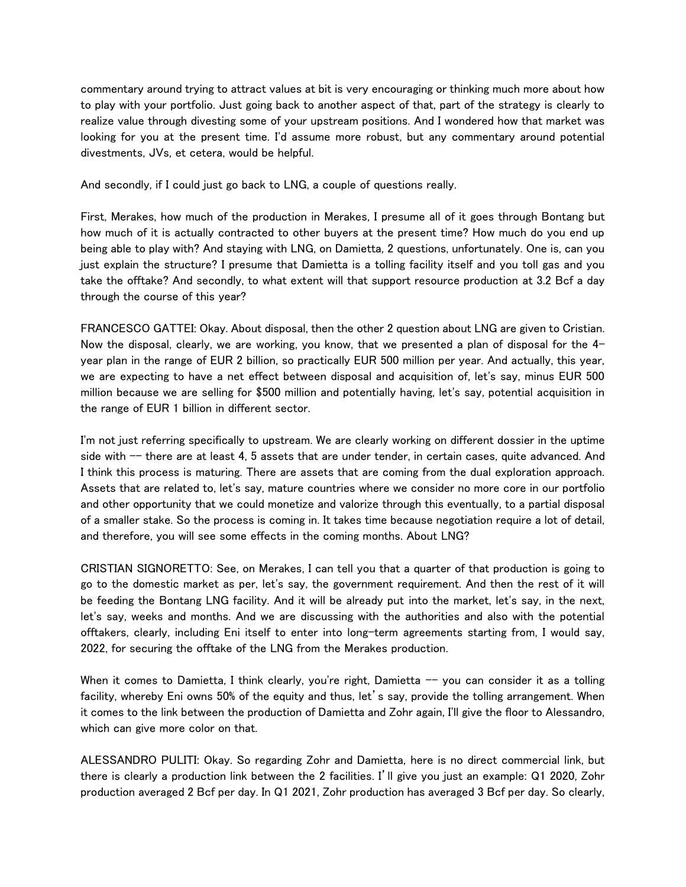commentary around trying to attract values at bit is very encouraging or thinking much more about how to play with your portfolio. Just going back to another aspect of that, part of the strategy is clearly to realize value through divesting some of your upstream positions. And I wondered how that market was looking for you at the present time. I'd assume more robust, but any commentary around potential divestments, JVs, et cetera, would be helpful.

And secondly, if I could just go back to LNG, a couple of questions really.

First, Merakes, how much of the production in Merakes, I presume all of it goes through Bontang but how much of it is actually contracted to other buyers at the present time? How much do you end up being able to play with? And staying with LNG, on Damietta, 2 questions, unfortunately. One is, can you just explain the structure? I presume that Damietta is a tolling facility itself and you toll gas and you take the offtake? And secondly, to what extent will that support resource production at 3.2 Bcf a day through the course of this year?

FRANCESCO GATTEI: Okay. About disposal, then the other 2 question about LNG are given to Cristian. Now the disposal, clearly, we are working, you know, that we presented a plan of disposal for the 4year plan in the range of EUR 2 billion, so practically EUR 500 million per year. And actually, this year, we are expecting to have a net effect between disposal and acquisition of, let's say, minus EUR 500 million because we are selling for \$500 million and potentially having, let's say, potential acquisition in the range of EUR 1 billion in different sector.

I'm not just referring specifically to upstream. We are clearly working on different dossier in the uptime side with -- there are at least 4, 5 assets that are under tender, in certain cases, quite advanced. And I think this process is maturing. There are assets that are coming from the dual exploration approach. Assets that are related to, let's say, mature countries where we consider no more core in our portfolio and other opportunity that we could monetize and valorize through this eventually, to a partial disposal of a smaller stake. So the process is coming in. It takes time because negotiation require a lot of detail, and therefore, you will see some effects in the coming months. About LNG?

CRISTIAN SIGNORETTO: See, on Merakes, I can tell you that a quarter of that production is going to go to the domestic market as per, let's say, the government requirement. And then the rest of it will be feeding the Bontang LNG facility. And it will be already put into the market, let's say, in the next, let's say, weeks and months. And we are discussing with the authorities and also with the potential offtakers, clearly, including Eni itself to enter into long-term agreements starting from, I would say, 2022, for securing the offtake of the LNG from the Merakes production.

When it comes to Damietta, I think clearly, you're right, Damietta  $-$  you can consider it as a tolling facility, whereby Eni owns 50% of the equity and thus, let's say, provide the tolling arrangement. When it comes to the link between the production of Damietta and Zohr again, I'll give the floor to Alessandro, which can give more color on that.

ALESSANDRO PULITI: Okay. So regarding Zohr and Damietta, here is no direct commercial link, but there is clearly a production link between the 2 facilities. I'll give you just an example: Q1 2020, Zohr production averaged 2 Bcf per day. In Q1 2021, Zohr production has averaged 3 Bcf per day. So clearly,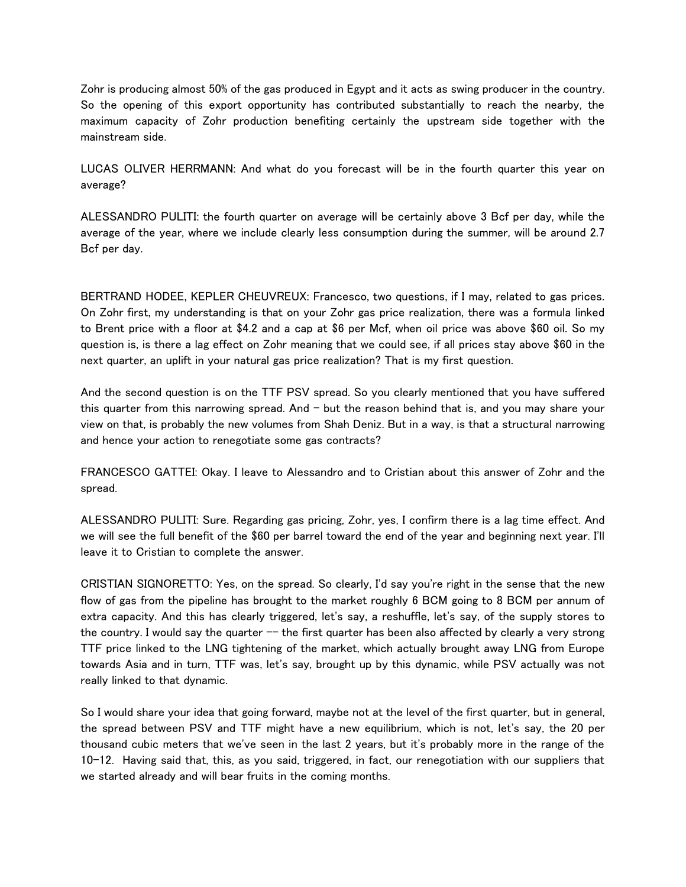Zohr is producing almost 50% of the gas produced in Egypt and it acts as swing producer in the country. So the opening of this export opportunity has contributed substantially to reach the nearby, the maximum capacity of Zohr production benefiting certainly the upstream side together with the mainstream side.

LUCAS OLIVER HERRMANN: And what do you forecast will be in the fourth quarter this year on average?

ALESSANDRO PULITI: the fourth quarter on average will be certainly above 3 Bcf per day, while the average of the year, where we include clearly less consumption during the summer, will be around 2.7 Bcf per day.

BERTRAND HODEE, KEPLER CHEUVREUX: Francesco, two questions, if I may, related to gas prices. On Zohr first, my understanding is that on your Zohr gas price realization, there was a formula linked to Brent price with a floor at \$4.2 and a cap at \$6 per Mcf, when oil price was above \$60 oil. So my question is, is there a lag effect on Zohr meaning that we could see, if all prices stay above \$60 in the next quarter, an uplift in your natural gas price realization? That is my first question.

And the second question is on the TTF PSV spread. So you clearly mentioned that you have suffered this quarter from this narrowing spread. And  $-$  but the reason behind that is, and you may share your view on that, is probably the new volumes from Shah Deniz. But in a way, is that a structural narrowing and hence your action to renegotiate some gas contracts?

FRANCESCO GATTEI: Okay. I leave to Alessandro and to Cristian about this answer of Zohr and the spread.

ALESSANDRO PULITI: Sure. Regarding gas pricing, Zohr, yes, I confirm there is a lag time effect. And we will see the full benefit of the \$60 per barrel toward the end of the year and beginning next year. I'll leave it to Cristian to complete the answer.

CRISTIAN SIGNORETTO: Yes, on the spread. So clearly, I'd say you're right in the sense that the new flow of gas from the pipeline has brought to the market roughly 6 BCM going to 8 BCM per annum of extra capacity. And this has clearly triggered, let's say, a reshuffle, let's say, of the supply stores to the country. I would say the quarter  $-$  the first quarter has been also affected by clearly a very strong TTF price linked to the LNG tightening of the market, which actually brought away LNG from Europe towards Asia and in turn, TTF was, let's say, brought up by this dynamic, while PSV actually was not really linked to that dynamic.

So I would share your idea that going forward, maybe not at the level of the first quarter, but in general, the spread between PSV and TTF might have a new equilibrium, which is not, let's say, the 20 per thousand cubic meters that we've seen in the last 2 years, but it's probably more in the range of the 10-12. Having said that, this, as you said, triggered, in fact, our renegotiation with our suppliers that we started already and will bear fruits in the coming months.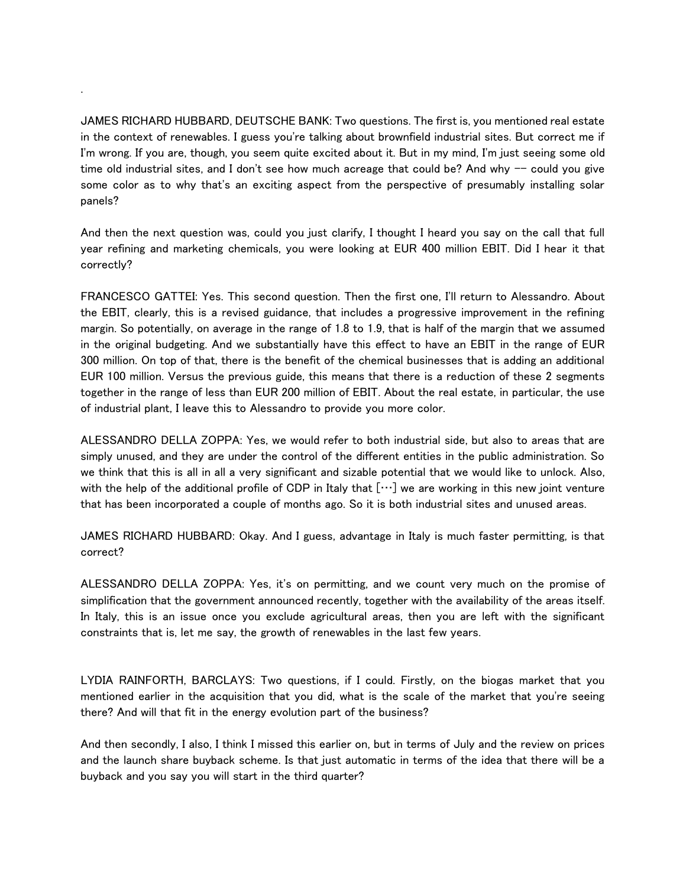JAMES RICHARD HUBBARD, DEUTSCHE BANK: Two questions. The first is, you mentioned real estate in the context of renewables. I guess you're talking about brownfield industrial sites. But correct me if I'm wrong. If you are, though, you seem quite excited about it. But in my mind, I'm just seeing some old time old industrial sites, and I don't see how much acreage that could be? And why  $-$  could you give some color as to why that's an exciting aspect from the perspective of presumably installing solar panels?

.

And then the next question was, could you just clarify, I thought I heard you say on the call that full year refining and marketing chemicals, you were looking at EUR 400 million EBIT. Did I hear it that correctly?

FRANCESCO GATTEI: Yes. This second question. Then the first one, I'll return to Alessandro. About the EBIT, clearly, this is a revised guidance, that includes a progressive improvement in the refining margin. So potentially, on average in the range of 1.8 to 1.9, that is half of the margin that we assumed in the original budgeting. And we substantially have this effect to have an EBIT in the range of EUR 300 million. On top of that, there is the benefit of the chemical businesses that is adding an additional EUR 100 million. Versus the previous guide, this means that there is a reduction of these 2 segments together in the range of less than EUR 200 million of EBIT. About the real estate, in particular, the use of industrial plant, I leave this to Alessandro to provide you more color.

ALESSANDRO DELLA ZOPPA: Yes, we would refer to both industrial side, but also to areas that are simply unused, and they are under the control of the different entities in the public administration. So we think that this is all in all a very significant and sizable potential that we would like to unlock. Also, with the help of the additional profile of CDP in Italy that  $[\cdots]$  we are working in this new joint venture that has been incorporated a couple of months ago. So it is both industrial sites and unused areas.

JAMES RICHARD HUBBARD: Okay. And I guess, advantage in Italy is much faster permitting, is that correct?

ALESSANDRO DELLA ZOPPA: Yes, it's on permitting, and we count very much on the promise of simplification that the government announced recently, together with the availability of the areas itself. In Italy, this is an issue once you exclude agricultural areas, then you are left with the significant constraints that is, let me say, the growth of renewables in the last few years.

LYDIA RAINFORTH, BARCLAYS: Two questions, if I could. Firstly, on the biogas market that you mentioned earlier in the acquisition that you did, what is the scale of the market that you're seeing there? And will that fit in the energy evolution part of the business?

And then secondly, I also, I think I missed this earlier on, but in terms of July and the review on prices and the launch share buyback scheme. Is that just automatic in terms of the idea that there will be a buyback and you say you will start in the third quarter?